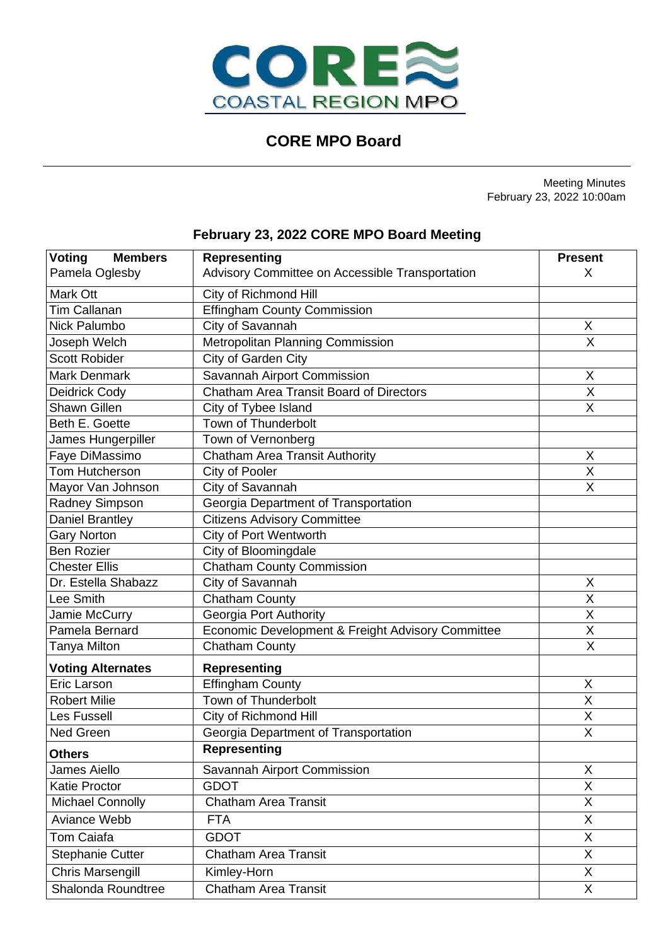

# **CORE MPO Board**

Meeting Minutes February 23, 2022 10:00am

# **February 23, 2022 CORE MPO Board Meeting**

| <b>Voting</b><br><b>Members</b> | <b>Representing</b>                               | <b>Present</b>          |
|---------------------------------|---------------------------------------------------|-------------------------|
| Pamela Oglesby                  | Advisory Committee on Accessible Transportation   | X                       |
| Mark Ott                        | City of Richmond Hill                             |                         |
| <b>Tim Callanan</b>             |                                                   |                         |
|                                 | <b>Effingham County Commission</b>                |                         |
| Nick Palumbo                    | City of Savannah                                  | Χ                       |
| Joseph Welch                    | Metropolitan Planning Commission                  | $\overline{\mathsf{x}}$ |
| <b>Scott Robider</b>            | City of Garden City                               |                         |
| <b>Mark Denmark</b>             | Savannah Airport Commission                       | X                       |
| Deidrick Cody                   | Chatham Area Transit Board of Directors           | $\overline{X}$          |
| <b>Shawn Gillen</b>             | City of Tybee Island                              | X                       |
| Beth E. Goette                  | Town of Thunderbolt                               |                         |
| James Hungerpiller              | Town of Vernonberg                                |                         |
| Faye DiMassimo                  | Chatham Area Transit Authority                    | X                       |
| Tom Hutcherson                  | City of Pooler                                    | Χ                       |
| Mayor Van Johnson               | City of Savannah                                  | $\overline{\mathsf{x}}$ |
| Radney Simpson                  | Georgia Department of Transportation              |                         |
| <b>Daniel Brantley</b>          | <b>Citizens Advisory Committee</b>                |                         |
| <b>Gary Norton</b>              | <b>City of Port Wentworth</b>                     |                         |
| <b>Ben Rozier</b>               | City of Bloomingdale                              |                         |
| <b>Chester Ellis</b>            | <b>Chatham County Commission</b>                  |                         |
| Dr. Estella Shabazz             | City of Savannah                                  | X                       |
| Lee Smith                       | <b>Chatham County</b>                             | X                       |
| Jamie McCurry                   | Georgia Port Authority                            | X                       |
| Pamela Bernard                  | Economic Development & Freight Advisory Committee | X                       |
| <b>Tanya Milton</b>             | <b>Chatham County</b>                             | $\sf X$                 |
| <b>Voting Alternates</b>        | <b>Representing</b>                               |                         |
| Eric Larson                     | <b>Effingham County</b>                           | X                       |
| <b>Robert Milie</b>             | Town of Thunderbolt                               | X                       |
| Les Fussell                     | City of Richmond Hill                             | X                       |
| Ned Green                       | Georgia Department of Transportation              | X                       |
| <b>Others</b>                   | <b>Representing</b>                               |                         |
| James Aiello                    | Savannah Airport Commission                       | X                       |
| <b>Katie Proctor</b>            | <b>GDOT</b>                                       | Χ                       |
| <b>Michael Connolly</b>         | Chatham Area Transit                              | X                       |
| Aviance Webb                    | <b>FTA</b>                                        | X                       |
| <b>Tom Caiafa</b>               | <b>GDOT</b>                                       | Χ                       |
| <b>Stephanie Cutter</b>         | <b>Chatham Area Transit</b>                       | X                       |
| <b>Chris Marsengill</b>         | Kimley-Horn                                       | X                       |
| Shalonda Roundtree              | <b>Chatham Area Transit</b>                       | X                       |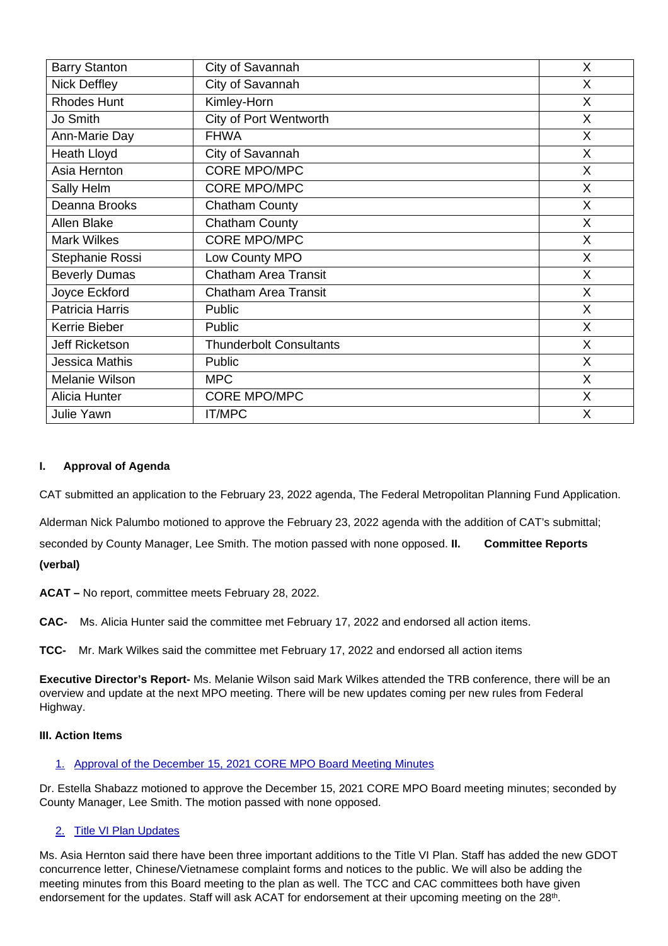| <b>Barry Stanton</b>  | City of Savannah               | X |
|-----------------------|--------------------------------|---|
| <b>Nick Deffley</b>   | City of Savannah               | X |
| <b>Rhodes Hunt</b>    | Kimley-Horn                    | X |
| Jo Smith              | <b>City of Port Wentworth</b>  | X |
| Ann-Marie Day         | <b>FHWA</b>                    | X |
| <b>Heath Lloyd</b>    | City of Savannah               | X |
| Asia Hernton          | <b>CORE MPO/MPC</b>            | X |
| Sally Helm            | <b>CORE MPO/MPC</b>            | X |
| Deanna Brooks         | <b>Chatham County</b>          | X |
| Allen Blake           | <b>Chatham County</b>          | X |
| <b>Mark Wilkes</b>    | <b>CORE MPO/MPC</b>            | X |
| Stephanie Rossi       | Low County MPO                 | X |
| <b>Beverly Dumas</b>  | <b>Chatham Area Transit</b>    | X |
| Joyce Eckford         | <b>Chatham Area Transit</b>    | X |
| Patricia Harris       | Public                         | X |
| Kerrie Bieber         | Public                         | X |
| Jeff Ricketson        | <b>Thunderbolt Consultants</b> | X |
| <b>Jessica Mathis</b> | Public                         | X |
| <b>Melanie Wilson</b> | <b>MPC</b>                     | X |
| Alicia Hunter         | <b>CORE MPO/MPC</b>            | X |
| Julie Yawn            | <b>IT/MPC</b>                  | X |

# **I. Approval of Agenda**

CAT submitted an application to the February 23, 2022 agenda, The Federal Metropolitan Planning Fund Application.

Alderman Nick Palumbo motioned to approve the February 23, 2022 agenda with the addition of CAT's submittal; seconded by County Manager, Lee Smith. The motion passed with none opposed. **II. Committee Reports (verbal)**

**ACAT –** No report, committee meets February 28, 2022.

**CAC-** Ms. Alicia Hunter said the committee met February 17, 2022 and endorsed all action items.

**TCC-** Mr. Mark Wilkes said the committee met February 17, 2022 and endorsed all action items

**Executive Director's Report-** Ms. Melanie Wilson said Mark Wilkes attended the TRB conference, there will be an overview and update at the next MPO meeting. There will be new updates coming per new rules from Federal Highway.

# **III. Action Items**

# 1. Approval of the December 15, 2021 CORE MPO Board Meeting Minutes

Dr. Estella Shabazz motioned to approve the December 15, 2021 CORE MPO Board meeting minutes; seconded by County Manager, Lee Smith. The motion passed with none opposed.

# 2. Title VI Plan Updates

Ms. Asia Hernton said there have been three important additions to the Title VI Plan. Staff has added the new GDOT concurrence letter, Chinese/Vietnamese complaint forms and notices to the public. We will also be adding the meeting minutes from this Board meeting to the plan as well. The TCC and CAC committees both have given endorsement for the updates. Staff will ask ACAT for endorsement at their upcoming meeting on the 28<sup>th</sup>.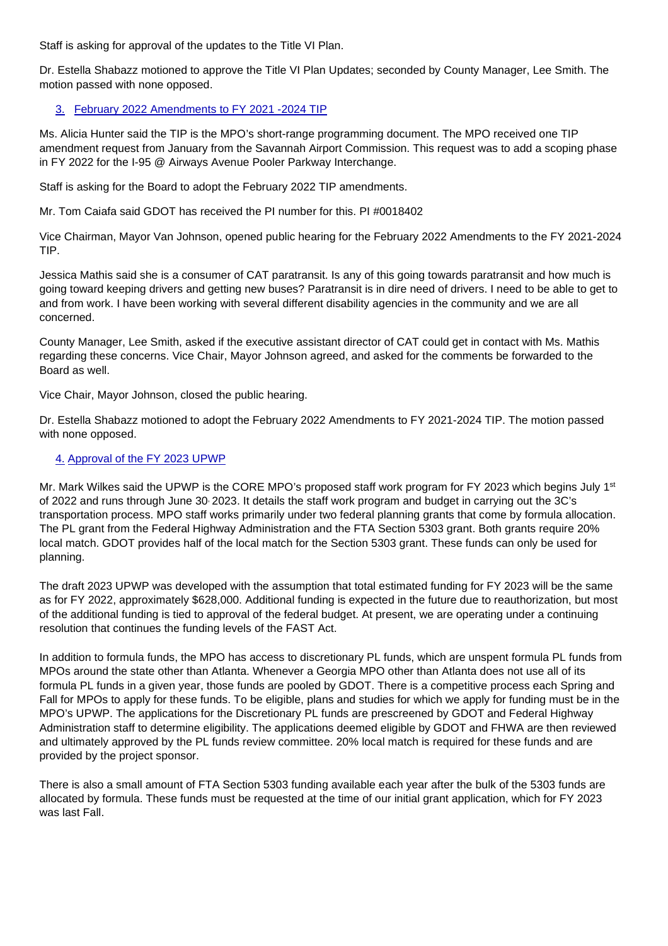Staff is asking for approval of the updates to the Title VI Plan.

Dr. Estella Shabazz motioned to approve the Title VI Plan Updates; seconded by County Manager, Lee Smith. The motion passed with none opposed.

# 3. February 2022 Amendments to FY 2021 -2024 TIP

Ms. Alicia Hunter said the TIP is the MPO's short-range programming document. The MPO received one TIP amendment request from January from the Savannah Airport Commission. This request was to add a scoping phase in FY 2022 for the I-95 @ Airways Avenue Pooler Parkway Interchange.

Staff is asking for the Board to adopt the February 2022 TIP amendments.

Mr. Tom Caiafa said GDOT has received the PI number for this. PI #0018402

Vice Chairman, Mayor Van Johnson, opened public hearing for the February 2022 Amendments to the FY 2021-2024 TIP.

Jessica Mathis said she is a consumer of CAT paratransit. Is any of this going towards paratransit and how much is going toward keeping drivers and getting new buses? Paratransit is in dire need of drivers. I need to be able to get to and from work. I have been working with several different disability agencies in the community and we are all concerned.

County Manager, Lee Smith, asked if the executive assistant director of CAT could get in contact with Ms. Mathis regarding these concerns. Vice Chair, Mayor Johnson agreed, and asked for the comments be forwarded to the Board as well.

Vice Chair, Mayor Johnson, closed the public hearing.

Dr. Estella Shabazz motioned to adopt the February 2022 Amendments to FY 2021-2024 TIP. The motion passed with none opposed.

# 4. Approval of the FY 2023 UPWP

Mr. Mark Wilkes said the UPWP is the CORE MPO's proposed staff work program for FY 2023 which begins July 1<sup>st</sup> of 2022 and runs through June 30, 2023. It details the staff work program and budget in carrying out the 3C's transportation process. MPO staff works primarily under two federal planning grants that come by formula allocation. The PL grant from the Federal Highway Administration and the FTA Section 5303 grant. Both grants require 20% local match. GDOT provides half of the local match for the Section 5303 grant. These funds can only be used for planning.

The draft 2023 UPWP was developed with the assumption that total estimated funding for FY 2023 will be the same as for FY 2022, approximately \$628,000. Additional funding is expected in the future due to reauthorization, but most of the additional funding is tied to approval of the federal budget. At present, we are operating under a continuing resolution that continues the funding levels of the FAST Act.

In addition to formula funds, the MPO has access to discretionary PL funds, which are unspent formula PL funds from MPOs around the state other than Atlanta. Whenever a Georgia MPO other than Atlanta does not use all of its formula PL funds in a given year, those funds are pooled by GDOT. There is a competitive process each Spring and Fall for MPOs to apply for these funds. To be eligible, plans and studies for which we apply for funding must be in the MPO's UPWP. The applications for the Discretionary PL funds are prescreened by GDOT and Federal Highway Administration staff to determine eligibility. The applications deemed eligible by GDOT and FHWA are then reviewed and ultimately approved by the PL funds review committee. 20% local match is required for these funds and are provided by the project sponsor.

There is also a small amount of FTA Section 5303 funding available each year after the bulk of the 5303 funds are allocated by formula. These funds must be requested at the time of our initial grant application, which for FY 2023 was last Fall.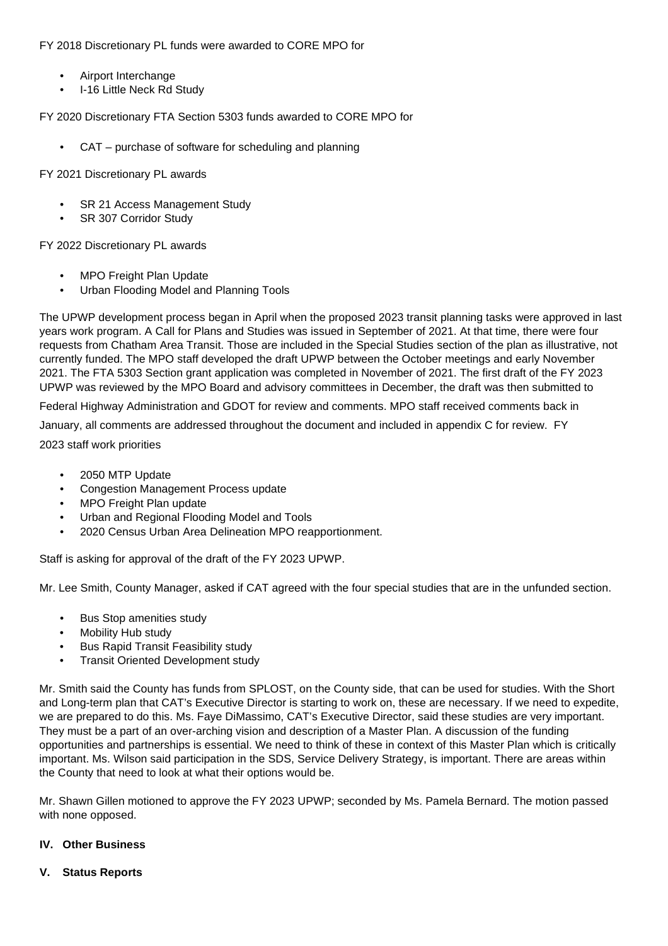FY 2018 Discretionary PL funds were awarded to CORE MPO for

- Airport Interchange
- I-16 Little Neck Rd Study

FY 2020 Discretionary FTA Section 5303 funds awarded to CORE MPO for

• CAT – purchase of software for scheduling and planning

FY 2021 Discretionary PL awards

- SR 21 Access Management Study
- SR 307 Corridor Study

FY 2022 Discretionary PL awards

- MPO Freight Plan Update
- Urban Flooding Model and Planning Tools

The UPWP development process began in April when the proposed 2023 transit planning tasks were approved in last years work program. A Call for Plans and Studies was issued in September of 2021. At that time, there were four requests from Chatham Area Transit. Those are included in the Special Studies section of the plan as illustrative, not currently funded. The MPO staff developed the draft UPWP between the October meetings and early November 2021. The FTA 5303 Section grant application was completed in November of 2021. The first draft of the FY 2023 UPWP was reviewed by the MPO Board and advisory committees in December, the draft was then submitted to

Federal Highway Administration and GDOT for review and comments. MPO staff received comments back in January, all comments are addressed throughout the document and included in appendix C for review. FY 2023 staff work priorities

• 2050 MTP Update

- Congestion Management Process update
- MPO Freight Plan update
- Urban and Regional Flooding Model and Tools
- 2020 Census Urban Area Delineation MPO reapportionment.

Staff is asking for approval of the draft of the FY 2023 UPWP.

Mr. Lee Smith, County Manager, asked if CAT agreed with the four special studies that are in the unfunded section.

- Bus Stop amenities study
- Mobility Hub study
- Bus Rapid Transit Feasibility study
- Transit Oriented Development study

Mr. Smith said the County has funds from SPLOST, on the County side, that can be used for studies. With the Short and Long-term plan that CAT's Executive Director is starting to work on, these are necessary. If we need to expedite, we are prepared to do this. Ms. Faye DiMassimo, CAT's Executive Director, said these studies are very important. They must be a part of an over-arching vision and description of a Master Plan. A discussion of the funding opportunities and partnerships is essential. We need to think of these in context of this Master Plan which is critically important. Ms. Wilson said participation in the SDS, Service Delivery Strategy, is important. There are areas within the County that need to look at what their options would be.

Mr. Shawn Gillen motioned to approve the FY 2023 UPWP; seconded by Ms. Pamela Bernard. The motion passed with none opposed.

# **IV. Other Business**

#### **V. Status Reports**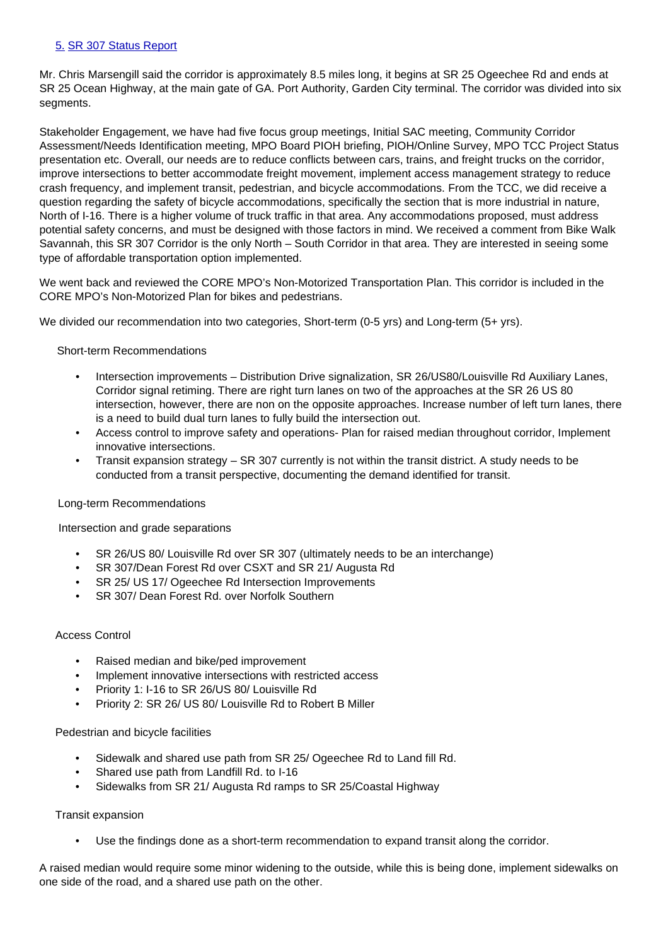# 5. SR 307 Status Report

Mr. Chris Marsengill said the corridor is approximately 8.5 miles long, it begins at SR 25 Ogeechee Rd and ends at SR 25 Ocean Highway, at the main gate of GA. Port Authority, Garden City terminal. The corridor was divided into six segments.

Stakeholder Engagement, we have had five focus group meetings, Initial SAC meeting, Community Corridor Assessment/Needs Identification meeting, MPO Board PIOH briefing, PIOH/Online Survey, MPO TCC Project Status presentation etc. Overall, our needs are to reduce conflicts between cars, trains, and freight trucks on the corridor, improve intersections to better accommodate freight movement, implement access management strategy to reduce crash frequency, and implement transit, pedestrian, and bicycle accommodations. From the TCC, we did receive a question regarding the safety of bicycle accommodations, specifically the section that is more industrial in nature, North of I-16. There is a higher volume of truck traffic in that area. Any accommodations proposed, must address potential safety concerns, and must be designed with those factors in mind. We received a comment from Bike Walk Savannah, this SR 307 Corridor is the only North – South Corridor in that area. They are interested in seeing some type of affordable transportation option implemented.

We went back and reviewed the CORE MPO's Non-Motorized Transportation Plan. This corridor is included in the CORE MPO's Non-Motorized Plan for bikes and pedestrians.

We divided our recommendation into two categories, Short-term (0-5 yrs) and Long-term (5+ yrs).

#### Short-term Recommendations

- Intersection improvements Distribution Drive signalization, SR 26/US80/Louisville Rd Auxiliary Lanes, Corridor signal retiming. There are right turn lanes on two of the approaches at the SR 26 US 80 intersection, however, there are non on the opposite approaches. Increase number of left turn lanes, there is a need to build dual turn lanes to fully build the intersection out.
- Access control to improve safety and operations- Plan for raised median throughout corridor, Implement innovative intersections.
- Transit expansion strategy SR 307 currently is not within the transit district. A study needs to be conducted from a transit perspective, documenting the demand identified for transit.

#### Long-term Recommendations

#### Intersection and grade separations

- SR 26/US 80/ Louisville Rd over SR 307 (ultimately needs to be an interchange)
- SR 307/Dean Forest Rd over CSXT and SR 21/ Augusta Rd
- SR 25/ US 17/ Ogeechee Rd Intersection Improvements
- SR 307/ Dean Forest Rd. over Norfolk Southern

# Access Control

- Raised median and bike/ped improvement
- Implement innovative intersections with restricted access
- Priority 1: I-16 to SR 26/US 80/ Louisville Rd
- Priority 2: SR 26/ US 80/ Louisville Rd to Robert B Miller

#### Pedestrian and bicycle facilities

- Sidewalk and shared use path from SR 25/ Ogeechee Rd to Land fill Rd.
- Shared use path from Landfill Rd. to I-16
- Sidewalks from SR 21/ Augusta Rd ramps to SR 25/Coastal Highway

#### Transit expansion

• Use the findings done as a short-term recommendation to expand transit along the corridor.

A raised median would require some minor widening to the outside, while this is being done, implement sidewalks on one side of the road, and a shared use path on the other.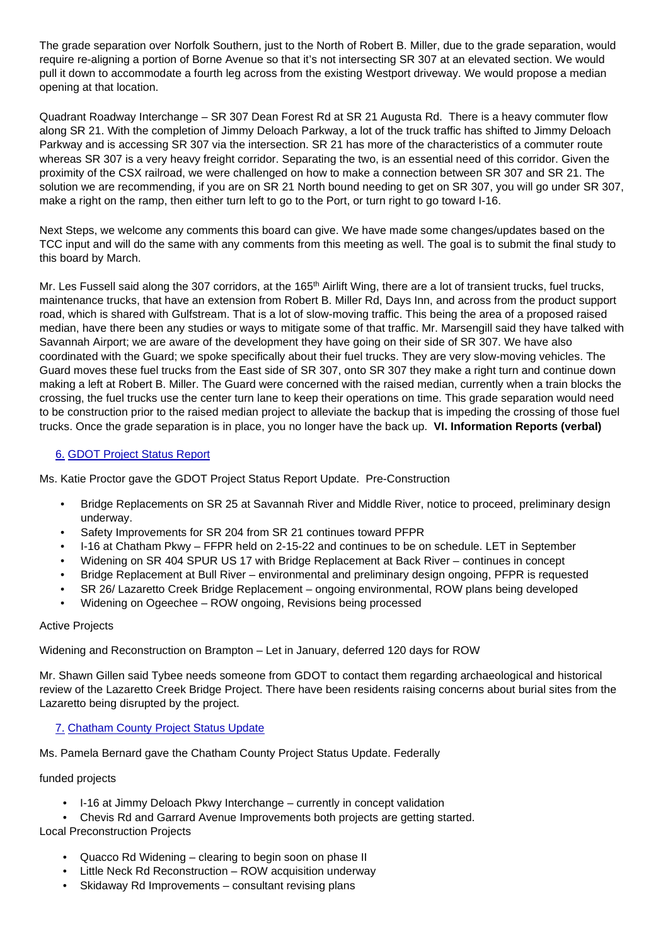The grade separation over Norfolk Southern, just to the North of Robert B. Miller, due to the grade separation, would require re-aligning a portion of Borne Avenue so that it's not intersecting SR 307 at an elevated section. We would pull it down to accommodate a fourth leg across from the existing Westport driveway. We would propose a median opening at that location.

Quadrant Roadway Interchange – SR 307 Dean Forest Rd at SR 21 Augusta Rd. There is a heavy commuter flow along SR 21. With the completion of Jimmy Deloach Parkway, a lot of the truck traffic has shifted to Jimmy Deloach Parkway and is accessing SR 307 via the intersection. SR 21 has more of the characteristics of a commuter route whereas SR 307 is a very heavy freight corridor. Separating the two, is an essential need of this corridor. Given the proximity of the CSX railroad, we were challenged on how to make a connection between SR 307 and SR 21. The solution we are recommending, if you are on SR 21 North bound needing to get on SR 307, you will go under SR 307, make a right on the ramp, then either turn left to go to the Port, or turn right to go toward I-16.

Next Steps, we welcome any comments this board can give. We have made some changes/updates based on the TCC input and will do the same with any comments from this meeting as well. The goal is to submit the final study to this board by March.

Mr. Les Fussell said along the 307 corridors, at the 165<sup>th</sup> Airlift Wing, there are a lot of transient trucks, fuel trucks, maintenance trucks, that have an extension from Robert B. Miller Rd, Days Inn, and across from the product support road, which is shared with Gulfstream. That is a lot of slow-moving traffic. This being the area of a proposed raised median, have there been any studies or ways to mitigate some of that traffic. Mr. Marsengill said they have talked with Savannah Airport; we are aware of the development they have going on their side of SR 307. We have also coordinated with the Guard; we spoke specifically about their fuel trucks. They are very slow-moving vehicles. The Guard moves these fuel trucks from the East side of SR 307, onto SR 307 they make a right turn and continue down making a left at Robert B. Miller. The Guard were concerned with the raised median, currently when a train blocks the crossing, the fuel trucks use the center turn lane to keep their operations on time. This grade separation would need to be construction prior to the raised median project to alleviate the backup that is impeding the crossing of those fuel trucks. Once the grade separation is in place, you no longer have the back up. **VI. Information Reports (verbal)**

# 6. GDOT Project Status Report

Ms. Katie Proctor gave the GDOT Project Status Report Update. Pre-Construction

- Bridge Replacements on SR 25 at Savannah River and Middle River, notice to proceed, preliminary design underway.
- Safety Improvements for SR 204 from SR 21 continues toward PFPR
- I-16 at Chatham Pkwy FFPR held on 2-15-22 and continues to be on schedule. LET in September
- Widening on SR 404 SPUR US 17 with Bridge Replacement at Back River continues in concept
- Bridge Replacement at Bull River environmental and preliminary design ongoing, PFPR is requested
- SR 26/ Lazaretto Creek Bridge Replacement ongoing environmental, ROW plans being developed
- Widening on Ogeechee ROW ongoing, Revisions being processed

# Active Projects

Widening and Reconstruction on Brampton – Let in January, deferred 120 days for ROW

Mr. Shawn Gillen said Tybee needs someone from GDOT to contact them regarding archaeological and historical review of the Lazaretto Creek Bridge Project. There have been residents raising concerns about burial sites from the Lazaretto being disrupted by the project.

# 7. Chatham County Project Status Update

Ms. Pamela Bernard gave the Chatham County Project Status Update. Federally

# funded projects

- I-16 at Jimmy Deloach Pkwy Interchange currently in concept validation
- Chevis Rd and Garrard Avenue Improvements both projects are getting started.

# Local Preconstruction Projects

- Quacco Rd Widening clearing to begin soon on phase II
- Little Neck Rd Reconstruction ROW acquisition underway
- Skidaway Rd Improvements consultant revising plans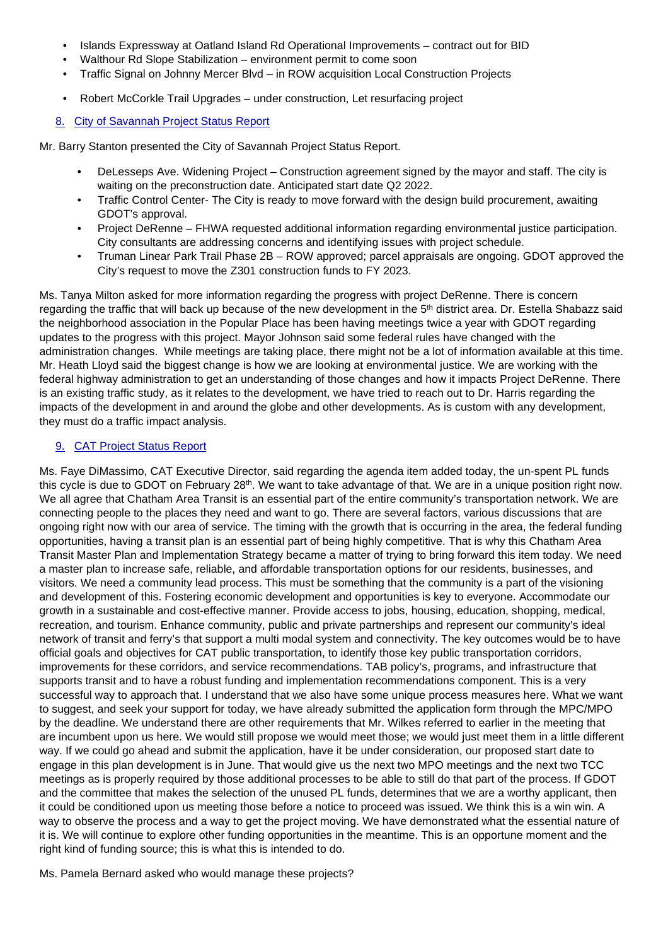- Islands Expressway at Oatland Island Rd Operational Improvements contract out for BID
- Walthour Rd Slope Stabilization environment permit to come soon
- Traffic Signal on Johnny Mercer Blvd in ROW acquisition Local Construction Projects
- Robert McCorkle Trail Upgrades under construction, Let resurfacing project

#### 8. City of Savannah Project Status Report

Mr. Barry Stanton presented the City of Savannah Project Status Report.

- DeLesseps Ave. Widening Project Construction agreement signed by the mayor and staff. The city is waiting on the preconstruction date. Anticipated start date Q2 2022.
- Traffic Control Center- The City is ready to move forward with the design build procurement, awaiting GDOT's approval.
- Project DeRenne FHWA requested additional information regarding environmental justice participation. City consultants are addressing concerns and identifying issues with project schedule.
- Truman Linear Park Trail Phase 2B ROW approved; parcel appraisals are ongoing. GDOT approved the City's request to move the Z301 construction funds to FY 2023.

Ms. Tanya Milton asked for more information regarding the progress with project DeRenne. There is concern regarding the traffic that will back up because of the new development in the 5<sup>th</sup> district area. Dr. Estella Shabazz said the neighborhood association in the Popular Place has been having meetings twice a year with GDOT regarding updates to the progress with this project. Mayor Johnson said some federal rules have changed with the administration changes. While meetings are taking place, there might not be a lot of information available at this time. Mr. Heath Lloyd said the biggest change is how we are looking at environmental justice. We are working with the federal highway administration to get an understanding of those changes and how it impacts Project DeRenne. There is an existing traffic study, as it relates to the development, we have tried to reach out to Dr. Harris regarding the impacts of the development in and around the globe and other developments. As is custom with any development, they must do a traffic impact analysis.

#### 9. CAT Project Status Report

Ms. Faye DiMassimo, CAT Executive Director, said regarding the agenda item added today, the un-spent PL funds this cycle is due to GDOT on February 28<sup>th</sup>. We want to take advantage of that. We are in a unique position right now. We all agree that Chatham Area Transit is an essential part of the entire community's transportation network. We are connecting people to the places they need and want to go. There are several factors, various discussions that are ongoing right now with our area of service. The timing with the growth that is occurring in the area, the federal funding opportunities, having a transit plan is an essential part of being highly competitive. That is why this Chatham Area Transit Master Plan and Implementation Strategy became a matter of trying to bring forward this item today. We need a master plan to increase safe, reliable, and affordable transportation options for our residents, businesses, and visitors. We need a community lead process. This must be something that the community is a part of the visioning and development of this. Fostering economic development and opportunities is key to everyone. Accommodate our growth in a sustainable and cost-effective manner. Provide access to jobs, housing, education, shopping, medical, recreation, and tourism. Enhance community, public and private partnerships and represent our community's ideal network of transit and ferry's that support a multi modal system and connectivity. The key outcomes would be to have official goals and objectives for CAT public transportation, to identify those key public transportation corridors, improvements for these corridors, and service recommendations. TAB policy's, programs, and infrastructure that supports transit and to have a robust funding and implementation recommendations component. This is a very successful way to approach that. I understand that we also have some unique process measures here. What we want to suggest, and seek your support for today, we have already submitted the application form through the MPC/MPO by the deadline. We understand there are other requirements that Mr. Wilkes referred to earlier in the meeting that are incumbent upon us here. We would still propose we would meet those; we would just meet them in a little different way. If we could go ahead and submit the application, have it be under consideration, our proposed start date to engage in this plan development is in June. That would give us the next two MPO meetings and the next two TCC meetings as is properly required by those additional processes to be able to still do that part of the process. If GDOT and the committee that makes the selection of the unused PL funds, determines that we are a worthy applicant, then it could be conditioned upon us meeting those before a notice to proceed was issued. We think this is a win win. A way to observe the process and a way to get the project moving. We have demonstrated what the essential nature of it is. We will continue to explore other funding opportunities in the meantime. This is an opportune moment and the right kind of funding source; this is what this is intended to do.

Ms. Pamela Bernard asked who would manage these projects?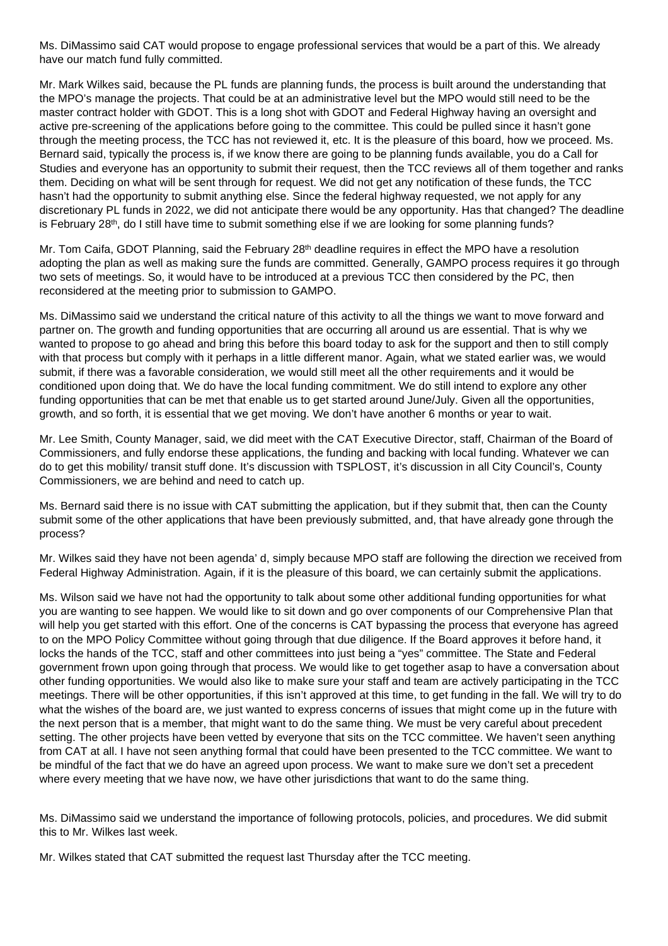Ms. DiMassimo said CAT would propose to engage professional services that would be a part of this. We already have our match fund fully committed.

Mr. Mark Wilkes said, because the PL funds are planning funds, the process is built around the understanding that the MPO's manage the projects. That could be at an administrative level but the MPO would still need to be the master contract holder with GDOT. This is a long shot with GDOT and Federal Highway having an oversight and active pre-screening of the applications before going to the committee. This could be pulled since it hasn't gone through the meeting process, the TCC has not reviewed it, etc. It is the pleasure of this board, how we proceed. Ms. Bernard said, typically the process is, if we know there are going to be planning funds available, you do a Call for Studies and everyone has an opportunity to submit their request, then the TCC reviews all of them together and ranks them. Deciding on what will be sent through for request. We did not get any notification of these funds, the TCC hasn't had the opportunity to submit anything else. Since the federal highway requested, we not apply for any discretionary PL funds in 2022, we did not anticipate there would be any opportunity. Has that changed? The deadline is February  $28<sup>th</sup>$ , do I still have time to submit something else if we are looking for some planning funds?

Mr. Tom Caifa, GDOT Planning, said the February 28<sup>th</sup> deadline requires in effect the MPO have a resolution adopting the plan as well as making sure the funds are committed. Generally, GAMPO process requires it go through two sets of meetings. So, it would have to be introduced at a previous TCC then considered by the PC, then reconsidered at the meeting prior to submission to GAMPO.

Ms. DiMassimo said we understand the critical nature of this activity to all the things we want to move forward and partner on. The growth and funding opportunities that are occurring all around us are essential. That is why we wanted to propose to go ahead and bring this before this board today to ask for the support and then to still comply with that process but comply with it perhaps in a little different manor. Again, what we stated earlier was, we would submit, if there was a favorable consideration, we would still meet all the other requirements and it would be conditioned upon doing that. We do have the local funding commitment. We do still intend to explore any other funding opportunities that can be met that enable us to get started around June/July. Given all the opportunities, growth, and so forth, it is essential that we get moving. We don't have another 6 months or year to wait.

Mr. Lee Smith, County Manager, said, we did meet with the CAT Executive Director, staff, Chairman of the Board of Commissioners, and fully endorse these applications, the funding and backing with local funding. Whatever we can do to get this mobility/ transit stuff done. It's discussion with TSPLOST, it's discussion in all City Council's, County Commissioners, we are behind and need to catch up.

Ms. Bernard said there is no issue with CAT submitting the application, but if they submit that, then can the County submit some of the other applications that have been previously submitted, and, that have already gone through the process?

Mr. Wilkes said they have not been agenda' d, simply because MPO staff are following the direction we received from Federal Highway Administration. Again, if it is the pleasure of this board, we can certainly submit the applications.

Ms. Wilson said we have not had the opportunity to talk about some other additional funding opportunities for what you are wanting to see happen. We would like to sit down and go over components of our Comprehensive Plan that will help you get started with this effort. One of the concerns is CAT bypassing the process that everyone has agreed to on the MPO Policy Committee without going through that due diligence. If the Board approves it before hand, it locks the hands of the TCC, staff and other committees into just being a "yes" committee. The State and Federal government frown upon going through that process. We would like to get together asap to have a conversation about other funding opportunities. We would also like to make sure your staff and team are actively participating in the TCC meetings. There will be other opportunities, if this isn't approved at this time, to get funding in the fall. We will try to do what the wishes of the board are, we just wanted to express concerns of issues that might come up in the future with the next person that is a member, that might want to do the same thing. We must be very careful about precedent setting. The other projects have been vetted by everyone that sits on the TCC committee. We haven't seen anything from CAT at all. I have not seen anything formal that could have been presented to the TCC committee. We want to be mindful of the fact that we do have an agreed upon process. We want to make sure we don't set a precedent where every meeting that we have now, we have other jurisdictions that want to do the same thing.

Ms. DiMassimo said we understand the importance of following protocols, policies, and procedures. We did submit this to Mr. Wilkes last week.

Mr. Wilkes stated that CAT submitted the request last Thursday after the TCC meeting.